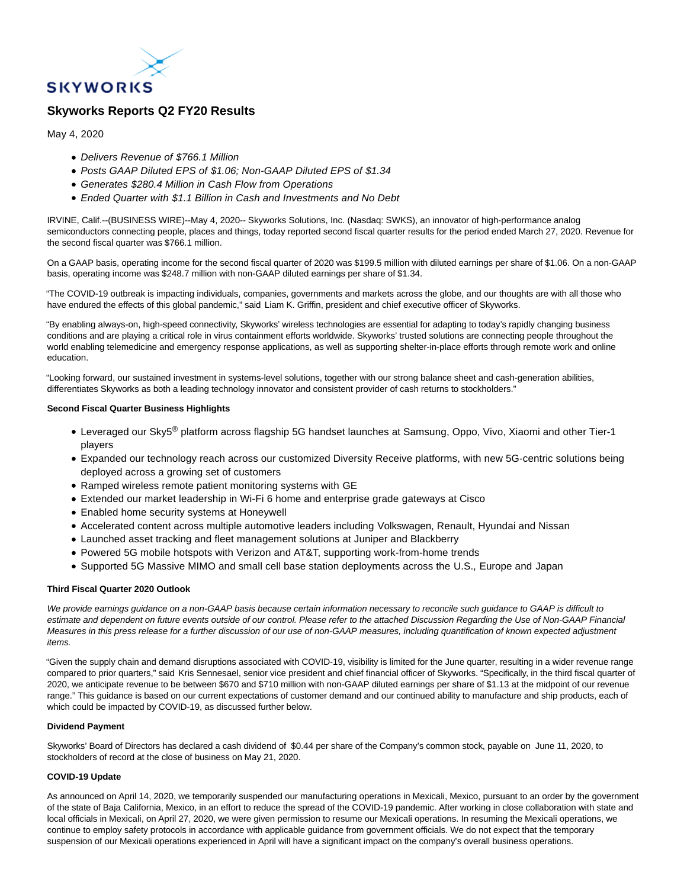

# **Skyworks Reports Q2 FY20 Results**

May 4, 2020

- Delivers Revenue of \$766.1 Million
- Posts GAAP Diluted EPS of \$1.06; Non-GAAP Diluted EPS of \$1.34
- Generates \$280.4 Million in Cash Flow from Operations
- Ended Quarter with \$1.1 Billion in Cash and Investments and No Debt

IRVINE, Calif.--(BUSINESS WIRE)--May 4, 2020-- Skyworks Solutions, Inc. (Nasdaq: SWKS), an innovator of high-performance analog semiconductors connecting people, places and things, today reported second fiscal quarter results for the period ended March 27, 2020. Revenue for the second fiscal quarter was \$766.1 million.

On a GAAP basis, operating income for the second fiscal quarter of 2020 was \$199.5 million with diluted earnings per share of \$1.06. On a non-GAAP basis, operating income was \$248.7 million with non-GAAP diluted earnings per share of \$1.34.

"The COVID-19 outbreak is impacting individuals, companies, governments and markets across the globe, and our thoughts are with all those who have endured the effects of this global pandemic," said Liam K. Griffin, president and chief executive officer of Skyworks.

"By enabling always-on, high-speed connectivity, Skyworks' wireless technologies are essential for adapting to today's rapidly changing business conditions and are playing a critical role in virus containment efforts worldwide. Skyworks' trusted solutions are connecting people throughout the world enabling telemedicine and emergency response applications, as well as supporting shelter-in-place efforts through remote work and online education.

"Looking forward, our sustained investment in systems-level solutions, together with our strong balance sheet and cash-generation abilities, differentiates Skyworks as both a leading technology innovator and consistent provider of cash returns to stockholders."

#### **Second Fiscal Quarter Business Highlights**

- Leveraged our Sky5<sup>®</sup> platform across flagship 5G handset launches at Samsung, Oppo, Vivo, Xiaomi and other Tier-1 players
- Expanded our technology reach across our customized Diversity Receive platforms, with new 5G-centric solutions being deployed across a growing set of customers
- Ramped wireless remote patient monitoring systems with GE
- Extended our market leadership in Wi-Fi 6 home and enterprise grade gateways at Cisco
- Enabled home security systems at Honeywell
- Accelerated content across multiple automotive leaders including Volkswagen, Renault, Hyundai and Nissan
- Launched asset tracking and fleet management solutions at Juniper and Blackberry
- Powered 5G mobile hotspots with Verizon and AT&T, supporting work-from-home trends
- Supported 5G Massive MIMO and small cell base station deployments across the U.S., Europe and Japan

#### **Third Fiscal Quarter 2020 Outlook**

We provide earnings guidance on a non-GAAP basis because certain information necessary to reconcile such guidance to GAAP is difficult to estimate and dependent on future events outside of our control. Please refer to the attached Discussion Regarding the Use of Non-GAAP Financial Measures in this press release for a further discussion of our use of non-GAAP measures, including quantification of known expected adjustment items.

"Given the supply chain and demand disruptions associated with COVID-19, visibility is limited for the June quarter, resulting in a wider revenue range compared to prior quarters," said Kris Sennesael, senior vice president and chief financial officer of Skyworks. "Specifically, in the third fiscal quarter of 2020, we anticipate revenue to be between \$670 and \$710 million with non-GAAP diluted earnings per share of \$1.13 at the midpoint of our revenue range." This guidance is based on our current expectations of customer demand and our continued ability to manufacture and ship products, each of which could be impacted by COVID-19, as discussed further below.

#### **Dividend Payment**

Skyworks' Board of Directors has declared a cash dividend of \$0.44 per share of the Company's common stock, payable on June 11, 2020, to stockholders of record at the close of business on May 21, 2020.

#### **COVID-19 Update**

As announced on April 14, 2020, we temporarily suspended our manufacturing operations in Mexicali, Mexico, pursuant to an order by the government of the state of Baja California, Mexico, in an effort to reduce the spread of the COVID-19 pandemic. After working in close collaboration with state and local officials in Mexicali, on April 27, 2020, we were given permission to resume our Mexicali operations. In resuming the Mexicali operations, we continue to employ safety protocols in accordance with applicable guidance from government officials. We do not expect that the temporary suspension of our Mexicali operations experienced in April will have a significant impact on the company's overall business operations.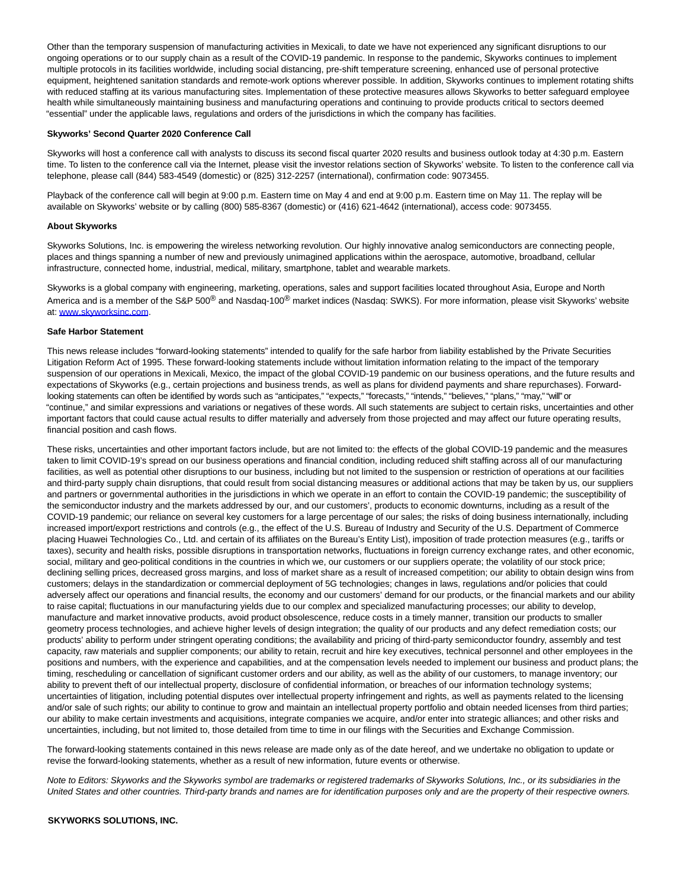Other than the temporary suspension of manufacturing activities in Mexicali, to date we have not experienced any significant disruptions to our ongoing operations or to our supply chain as a result of the COVID-19 pandemic. In response to the pandemic, Skyworks continues to implement multiple protocols in its facilities worldwide, including social distancing, pre-shift temperature screening, enhanced use of personal protective equipment, heightened sanitation standards and remote-work options wherever possible. In addition, Skyworks continues to implement rotating shifts with reduced staffing at its various manufacturing sites. Implementation of these protective measures allows Skyworks to better safeguard employee health while simultaneously maintaining business and manufacturing operations and continuing to provide products critical to sectors deemed "essential" under the applicable laws, regulations and orders of the jurisdictions in which the company has facilities.

#### **Skyworks' Second Quarter 2020 Conference Call**

Skyworks will host a conference call with analysts to discuss its second fiscal quarter 2020 results and business outlook today at 4:30 p.m. Eastern time. To listen to the conference call via the Internet, please visit the investor relations section of Skyworks' website. To listen to the conference call via telephone, please call (844) 583-4549 (domestic) or (825) 312-2257 (international), confirmation code: 9073455.

Playback of the conference call will begin at 9:00 p.m. Eastern time on May 4 and end at 9:00 p.m. Eastern time on May 11. The replay will be available on Skyworks' website or by calling (800) 585-8367 (domestic) or (416) 621-4642 (international), access code: 9073455.

#### **About Skyworks**

Skyworks Solutions, Inc. is empowering the wireless networking revolution. Our highly innovative analog semiconductors are connecting people, places and things spanning a number of new and previously unimagined applications within the aerospace, automotive, broadband, cellular infrastructure, connected home, industrial, medical, military, smartphone, tablet and wearable markets.

Skyworks is a global company with engineering, marketing, operations, sales and support facilities located throughout Asia, Europe and North America and is a member of the S&P 500<sup>®</sup> and Nasdaq-100<sup>®</sup> market indices (Nasdaq: SWKS). For more information, please visit Skyworks' website at: [www.skyworksinc.com.](https://cts.businesswire.com/ct/CT?id=smartlink&url=http%3A%2F%2Fwww.skyworksinc.com&esheet=52214342&newsitemid=20200504005694&lan=en-US&anchor=www.skyworksinc.com&index=1&md5=d71762ef0fc970d9473bb971c7d1924a)

#### **Safe Harbor Statement**

This news release includes "forward-looking statements" intended to qualify for the safe harbor from liability established by the Private Securities Litigation Reform Act of 1995. These forward-looking statements include without limitation information relating to the impact of the temporary suspension of our operations in Mexicali, Mexico, the impact of the global COVID-19 pandemic on our business operations, and the future results and expectations of Skyworks (e.g., certain projections and business trends, as well as plans for dividend payments and share repurchases). Forwardlooking statements can often be identified by words such as "anticipates," "expects," "forecasts," "intends," "believes," "plans," "may," "will" or "continue," and similar expressions and variations or negatives of these words. All such statements are subject to certain risks, uncertainties and other important factors that could cause actual results to differ materially and adversely from those projected and may affect our future operating results, financial position and cash flows.

These risks, uncertainties and other important factors include, but are not limited to: the effects of the global COVID-19 pandemic and the measures taken to limit COVID-19's spread on our business operations and financial condition, including reduced shift staffing across all of our manufacturing facilities, as well as potential other disruptions to our business, including but not limited to the suspension or restriction of operations at our facilities and third-party supply chain disruptions, that could result from social distancing measures or additional actions that may be taken by us, our suppliers and partners or governmental authorities in the jurisdictions in which we operate in an effort to contain the COVID-19 pandemic; the susceptibility of the semiconductor industry and the markets addressed by our, and our customers', products to economic downturns, including as a result of the COVID-19 pandemic; our reliance on several key customers for a large percentage of our sales; the risks of doing business internationally, including increased import/export restrictions and controls (e.g., the effect of the U.S. Bureau of Industry and Security of the U.S. Department of Commerce placing Huawei Technologies Co., Ltd. and certain of its affiliates on the Bureau's Entity List), imposition of trade protection measures (e.g., tariffs or taxes), security and health risks, possible disruptions in transportation networks, fluctuations in foreign currency exchange rates, and other economic, social, military and geo-political conditions in the countries in which we, our customers or our suppliers operate; the volatility of our stock price; declining selling prices, decreased gross margins, and loss of market share as a result of increased competition; our ability to obtain design wins from customers; delays in the standardization or commercial deployment of 5G technologies; changes in laws, regulations and/or policies that could adversely affect our operations and financial results, the economy and our customers' demand for our products, or the financial markets and our ability to raise capital; fluctuations in our manufacturing yields due to our complex and specialized manufacturing processes; our ability to develop, manufacture and market innovative products, avoid product obsolescence, reduce costs in a timely manner, transition our products to smaller geometry process technologies, and achieve higher levels of design integration; the quality of our products and any defect remediation costs; our products' ability to perform under stringent operating conditions; the availability and pricing of third-party semiconductor foundry, assembly and test capacity, raw materials and supplier components; our ability to retain, recruit and hire key executives, technical personnel and other employees in the positions and numbers, with the experience and capabilities, and at the compensation levels needed to implement our business and product plans; the timing, rescheduling or cancellation of significant customer orders and our ability, as well as the ability of our customers, to manage inventory; our ability to prevent theft of our intellectual property, disclosure of confidential information, or breaches of our information technology systems; uncertainties of litigation, including potential disputes over intellectual property infringement and rights, as well as payments related to the licensing and/or sale of such rights; our ability to continue to grow and maintain an intellectual property portfolio and obtain needed licenses from third parties; our ability to make certain investments and acquisitions, integrate companies we acquire, and/or enter into strategic alliances; and other risks and uncertainties, including, but not limited to, those detailed from time to time in our filings with the Securities and Exchange Commission.

The forward-looking statements contained in this news release are made only as of the date hereof, and we undertake no obligation to update or revise the forward-looking statements, whether as a result of new information, future events or otherwise.

Note to Editors: Skyworks and the Skyworks symbol are trademarks or registered trademarks of Skyworks Solutions, Inc., or its subsidiaries in the United States and other countries. Third-party brands and names are for identification purposes only and are the property of their respective owners.

#### **SKYWORKS SOLUTIONS, INC.**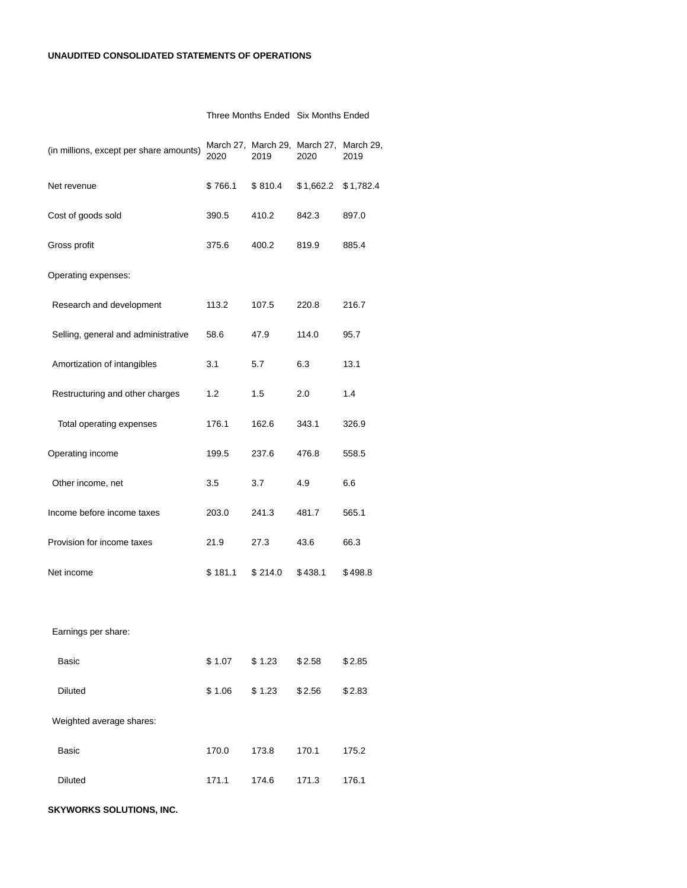## **UNAUDITED CONSOLIDATED STATEMENTS OF OPERATIONS**

|                                         |         |         | Three Months Ended Six Months Ended             |           |
|-----------------------------------------|---------|---------|-------------------------------------------------|-----------|
| (in millions, except per share amounts) | 2020    | 2019    | March 27, March 29, March 27, March 29,<br>2020 | 2019      |
| Net revenue                             | \$766.1 | \$810.4 | \$1,662.2                                       | \$1,782.4 |
| Cost of goods sold                      | 390.5   | 410.2   | 842.3                                           | 897.0     |
| Gross profit                            | 375.6   | 400.2   | 819.9                                           | 885.4     |
| Operating expenses:                     |         |         |                                                 |           |
| Research and development                | 113.2   | 107.5   | 220.8                                           | 216.7     |
| Selling, general and administrative     | 58.6    | 47.9    | 114.0                                           | 95.7      |
| Amortization of intangibles             | 3.1     | 5.7     | 6.3                                             | 13.1      |
| Restructuring and other charges         | 1.2     | 1.5     | 2.0                                             | 1.4       |
| Total operating expenses                | 176.1   | 162.6   | 343.1                                           | 326.9     |
| Operating income                        | 199.5   | 237.6   | 476.8                                           | 558.5     |
| Other income, net                       | 3.5     | 3.7     | 4.9                                             | 6.6       |
| Income before income taxes              | 203.0   | 241.3   | 481.7                                           | 565.1     |
| Provision for income taxes              | 21.9    | 27.3    | 43.6                                            | 66.3      |
| Net income                              | \$181.1 | \$214.0 | \$438.1                                         | \$498.8   |
|                                         |         |         |                                                 |           |
| Earnings per share:                     |         |         |                                                 |           |
| <b>Basic</b>                            | \$1.07  | \$1.23  | \$2.58                                          | \$2.85    |
| Diluted                                 | \$1.06  | \$1.23  | \$2.56                                          | \$2.83    |
| Weighted average shares:                |         |         |                                                 |           |
| <b>Basic</b>                            | 170.0   | 173.8   | 170.1                                           | 175.2     |
| Diluted                                 | 171.1   | 174.6   | 171.3                                           | 176.1     |

**SKYWORKS SOLUTIONS, INC.**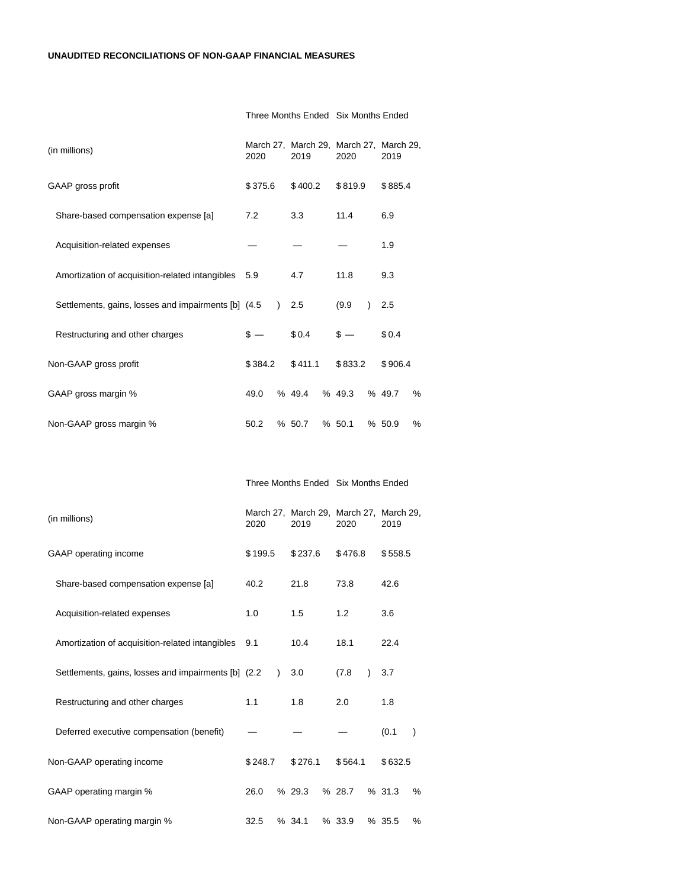|                                                     | Three Months Ended Six Months Ended |         |         |                                                 |         |         |         |         |      |  |
|-----------------------------------------------------|-------------------------------------|---------|---------|-------------------------------------------------|---------|---------|---------|---------|------|--|
| (in millions)                                       | 2020                                |         |         | March 27, March 29, March 27, March 29,<br>2019 |         | 2020    |         |         | 2019 |  |
| GAAP gross profit                                   |                                     | \$375.6 |         | \$400.2                                         |         | \$819.9 | \$885.4 |         |      |  |
| Share-based compensation expense [a]                | 7.2                                 |         |         | 3.3                                             |         |         | 6.9     |         |      |  |
| Acquisition-related expenses                        |                                     |         |         |                                                 |         |         | 1.9     |         |      |  |
| Amortization of acquisition-related intangibles     | 5.9                                 |         |         | 4.7                                             |         |         | 9.3     |         |      |  |
| Settlements, gains, losses and impairments [b] (4.5 |                                     |         | 2.5     |                                                 | (9.9)   |         | 2.5     |         |      |  |
| Restructuring and other charges                     | $s =$                               |         | \$0.4   |                                                 | $s -$   |         | \$0.4   |         |      |  |
| Non-GAAP gross profit                               | \$384.2                             |         | \$411.1 |                                                 | \$833.2 |         |         | \$906.4 |      |  |
| GAAP gross margin %                                 | 49.0                                |         | % 49.4  |                                                 | % 49.3  |         | % 49.7  | %       |      |  |
| Non-GAAP gross margin %                             | 50.2                                |         | % 50.7  |                                                 | %50.1   |         | % 50.9  | %       |      |  |

#### Three Months Ended Six Months Ended

| (in millions)                                        | 2020    | 2019    | March 27, March 29, March 27, March 29,<br>2020 | 2019       |  |
|------------------------------------------------------|---------|---------|-------------------------------------------------|------------|--|
| GAAP operating income                                | \$199.5 | \$237.6 | \$476.8                                         | \$558.5    |  |
| Share-based compensation expense [a]                 | 40.2    | 21.8    | 73.8                                            | 42.6       |  |
| Acquisition-related expenses                         | 1.0     | 1.5     | 1.2                                             | 3.6        |  |
| Amortization of acquisition-related intangibles 9.1  |         | 10.4    | 18.1                                            | 22.4       |  |
| Settlements, gains, losses and impairments [b] (2.2) |         | 3.0     | (7.8)                                           | 3.7        |  |
| Restructuring and other charges                      | 1.1     | 1.8     | 2.0                                             | 1.8        |  |
| Deferred executive compensation (benefit)            |         |         |                                                 | (0.1)      |  |
| Non-GAAP operating income                            | \$248.7 | \$276.1 | \$564.1                                         | \$632.5    |  |
| GAAP operating margin %                              | 26.0    | %29.3   | % 28.7                                          | %31.3<br>% |  |
| Non-GAAP operating margin %                          | 32.5    | %34.1   | % 33.9                                          | %35.5<br>℅ |  |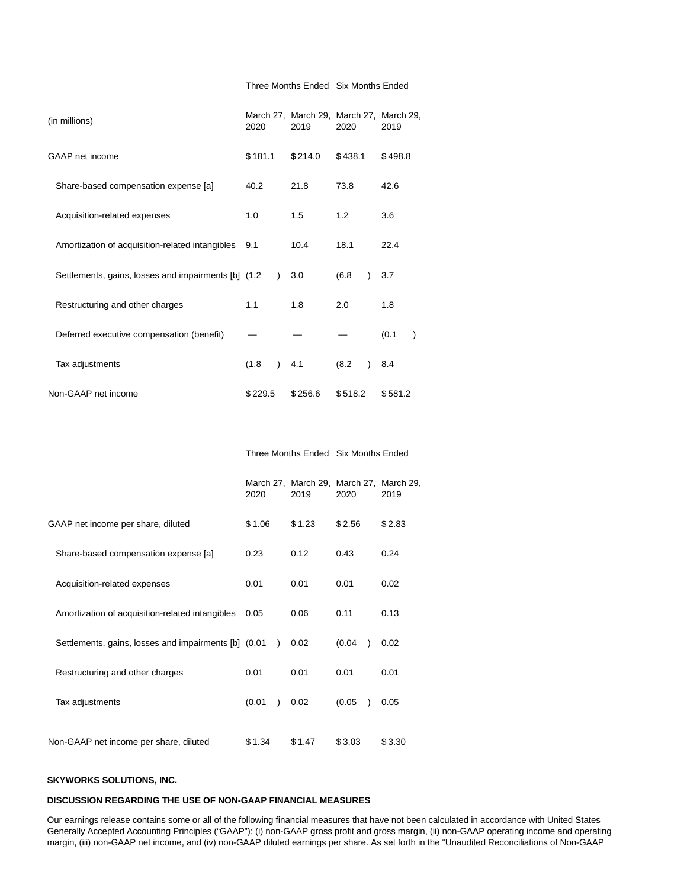#### Three Months Ended Six Months Ended

| (in millions)                                        | 2020               | March 27, March 29, March 27, March 29,<br>2019 | 2020               | 2019               |  |
|------------------------------------------------------|--------------------|-------------------------------------------------|--------------------|--------------------|--|
| GAAP net income                                      | \$181.1            | \$214.0                                         | \$438.1            | \$498.8            |  |
| Share-based compensation expense [a]                 | 40.2               | 21.8                                            | 73.8               | 42.6               |  |
| Acquisition-related expenses                         | 1.0                | 1.5                                             | 1.2                | 3.6                |  |
| Amortization of acquisition-related intangibles 9.1  |                    | 10.4                                            | 18.1               | 22.4               |  |
| Settlements, gains, losses and impairments [b] (1.2) |                    | 3.0                                             | (6.8)<br>1         | 3.7                |  |
| Restructuring and other charges                      | 1.1                | 1.8                                             | 2.0                | 1.8                |  |
| Deferred executive compensation (benefit)            |                    |                                                 |                    | (0.1)<br>$\lambda$ |  |
| Tax adjustments                                      | (1.8)<br>$\lambda$ | 4.1                                             | (8.2)<br>$\lambda$ | 8.4                |  |
| Non-GAAP net income                                  | \$229.5            | \$256.6                                         | \$518.2            | \$581.2            |  |

|                                                      | Three Months Ended Six Months Ended |           |                                                 |        |        |  |
|------------------------------------------------------|-------------------------------------|-----------|-------------------------------------------------|--------|--------|--|
|                                                      | 2020                                |           | March 27, March 29, March 27, March 29,<br>2019 | 2020   | 2019   |  |
| GAAP net income per share, diluted                   | \$1.06                              |           | \$1.23                                          | \$2.56 | \$2.83 |  |
| Share-based compensation expense [a]                 | 0.23                                |           | 0.12                                            | 0.43   | 0.24   |  |
| Acquisition-related expenses                         | 0.01                                |           | 0.01                                            | 0.01   | 0.02   |  |
| Amortization of acquisition-related intangibles      | 0.05                                |           | 0.06                                            | 0.11   | 0.13   |  |
| Settlements, gains, losses and impairments [b] (0.01 |                                     |           | 0.02                                            | (0.04) | 0.02   |  |
| Restructuring and other charges                      | 0.01                                |           | 0.01                                            | 0.01   | 0.01   |  |
| Tax adjustments                                      | (0.01)                              | $\lambda$ | 0.02                                            | (0.05) | 0.05   |  |
| Non-GAAP net income per share, diluted               | \$1.34                              |           | \$1.47                                          | \$3.03 | \$3.30 |  |

### **SKYWORKS SOLUTIONS, INC.**

### **DISCUSSION REGARDING THE USE OF NON-GAAP FINANCIAL MEASURES**

Our earnings release contains some or all of the following financial measures that have not been calculated in accordance with United States Generally Accepted Accounting Principles ("GAAP"): (i) non-GAAP gross profit and gross margin, (ii) non-GAAP operating income and operating margin, (iii) non-GAAP net income, and (iv) non-GAAP diluted earnings per share. As set forth in the "Unaudited Reconciliations of Non-GAAP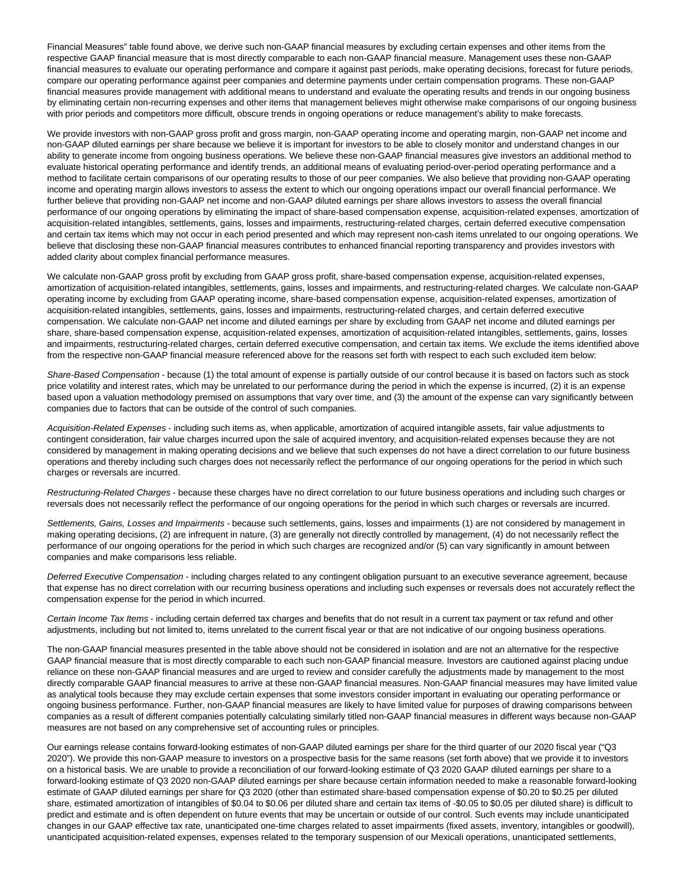Financial Measures" table found above, we derive such non-GAAP financial measures by excluding certain expenses and other items from the respective GAAP financial measure that is most directly comparable to each non-GAAP financial measure. Management uses these non-GAAP financial measures to evaluate our operating performance and compare it against past periods, make operating decisions, forecast for future periods, compare our operating performance against peer companies and determine payments under certain compensation programs. These non-GAAP financial measures provide management with additional means to understand and evaluate the operating results and trends in our ongoing business by eliminating certain non-recurring expenses and other items that management believes might otherwise make comparisons of our ongoing business with prior periods and competitors more difficult, obscure trends in ongoing operations or reduce management's ability to make forecasts.

We provide investors with non-GAAP gross profit and gross margin, non-GAAP operating income and operating margin, non-GAAP net income and non-GAAP diluted earnings per share because we believe it is important for investors to be able to closely monitor and understand changes in our ability to generate income from ongoing business operations. We believe these non-GAAP financial measures give investors an additional method to evaluate historical operating performance and identify trends, an additional means of evaluating period-over-period operating performance and a method to facilitate certain comparisons of our operating results to those of our peer companies. We also believe that providing non-GAAP operating income and operating margin allows investors to assess the extent to which our ongoing operations impact our overall financial performance. We further believe that providing non-GAAP net income and non-GAAP diluted earnings per share allows investors to assess the overall financial performance of our ongoing operations by eliminating the impact of share-based compensation expense, acquisition-related expenses, amortization of acquisition-related intangibles, settlements, gains, losses and impairments, restructuring-related charges, certain deferred executive compensation and certain tax items which may not occur in each period presented and which may represent non-cash items unrelated to our ongoing operations. We believe that disclosing these non-GAAP financial measures contributes to enhanced financial reporting transparency and provides investors with added clarity about complex financial performance measures.

We calculate non-GAAP gross profit by excluding from GAAP gross profit, share-based compensation expense, acquisition-related expenses, amortization of acquisition-related intangibles, settlements, gains, losses and impairments, and restructuring-related charges. We calculate non-GAAP operating income by excluding from GAAP operating income, share-based compensation expense, acquisition-related expenses, amortization of acquisition-related intangibles, settlements, gains, losses and impairments, restructuring-related charges, and certain deferred executive compensation. We calculate non-GAAP net income and diluted earnings per share by excluding from GAAP net income and diluted earnings per share, share-based compensation expense, acquisition-related expenses, amortization of acquisition-related intangibles, settlements, gains, losses and impairments, restructuring-related charges, certain deferred executive compensation, and certain tax items. We exclude the items identified above from the respective non-GAAP financial measure referenced above for the reasons set forth with respect to each such excluded item below:

Share-Based Compensation - because (1) the total amount of expense is partially outside of our control because it is based on factors such as stock price volatility and interest rates, which may be unrelated to our performance during the period in which the expense is incurred, (2) it is an expense based upon a valuation methodology premised on assumptions that vary over time, and (3) the amount of the expense can vary significantly between companies due to factors that can be outside of the control of such companies.

Acquisition-Related Expenses - including such items as, when applicable, amortization of acquired intangible assets, fair value adjustments to contingent consideration, fair value charges incurred upon the sale of acquired inventory, and acquisition-related expenses because they are not considered by management in making operating decisions and we believe that such expenses do not have a direct correlation to our future business operations and thereby including such charges does not necessarily reflect the performance of our ongoing operations for the period in which such charges or reversals are incurred.

Restructuring-Related Charges - because these charges have no direct correlation to our future business operations and including such charges or reversals does not necessarily reflect the performance of our ongoing operations for the period in which such charges or reversals are incurred.

Settlements, Gains, Losses and Impairments - because such settlements, gains, losses and impairments (1) are not considered by management in making operating decisions, (2) are infrequent in nature, (3) are generally not directly controlled by management, (4) do not necessarily reflect the performance of our ongoing operations for the period in which such charges are recognized and/or (5) can vary significantly in amount between companies and make comparisons less reliable.

Deferred Executive Compensation - including charges related to any contingent obligation pursuant to an executive severance agreement, because that expense has no direct correlation with our recurring business operations and including such expenses or reversals does not accurately reflect the compensation expense for the period in which incurred.

Certain Income Tax Items - including certain deferred tax charges and benefits that do not result in a current tax payment or tax refund and other adjustments, including but not limited to, items unrelated to the current fiscal year or that are not indicative of our ongoing business operations.

The non-GAAP financial measures presented in the table above should not be considered in isolation and are not an alternative for the respective GAAP financial measure that is most directly comparable to each such non-GAAP financial measure. Investors are cautioned against placing undue reliance on these non-GAAP financial measures and are urged to review and consider carefully the adjustments made by management to the most directly comparable GAAP financial measures to arrive at these non-GAAP financial measures. Non-GAAP financial measures may have limited value as analytical tools because they may exclude certain expenses that some investors consider important in evaluating our operating performance or ongoing business performance. Further, non-GAAP financial measures are likely to have limited value for purposes of drawing comparisons between companies as a result of different companies potentially calculating similarly titled non-GAAP financial measures in different ways because non-GAAP measures are not based on any comprehensive set of accounting rules or principles.

Our earnings release contains forward-looking estimates of non-GAAP diluted earnings per share for the third quarter of our 2020 fiscal year ("Q3 2020"). We provide this non-GAAP measure to investors on a prospective basis for the same reasons (set forth above) that we provide it to investors on a historical basis. We are unable to provide a reconciliation of our forward-looking estimate of Q3 2020 GAAP diluted earnings per share to a forward-looking estimate of Q3 2020 non-GAAP diluted earnings per share because certain information needed to make a reasonable forward-looking estimate of GAAP diluted earnings per share for Q3 2020 (other than estimated share-based compensation expense of \$0.20 to \$0.25 per diluted share, estimated amortization of intangibles of \$0.04 to \$0.06 per diluted share and certain tax items of -\$0.05 to \$0.05 per diluted share) is difficult to predict and estimate and is often dependent on future events that may be uncertain or outside of our control. Such events may include unanticipated changes in our GAAP effective tax rate, unanticipated one-time charges related to asset impairments (fixed assets, inventory, intangibles or goodwill), unanticipated acquisition-related expenses, expenses related to the temporary suspension of our Mexicali operations, unanticipated settlements,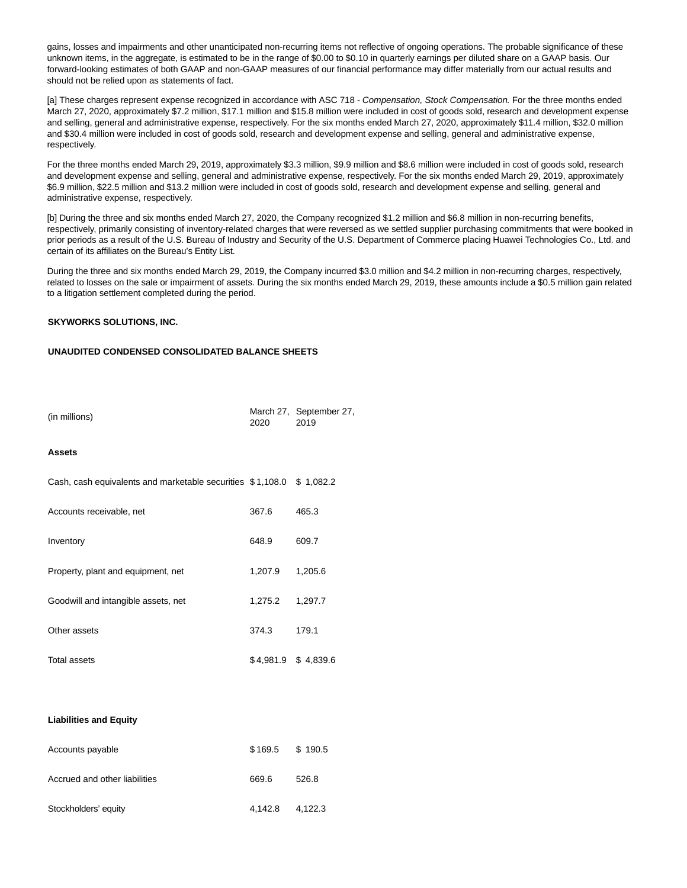gains, losses and impairments and other unanticipated non-recurring items not reflective of ongoing operations. The probable significance of these unknown items, in the aggregate, is estimated to be in the range of \$0.00 to \$0.10 in quarterly earnings per diluted share on a GAAP basis. Our forward-looking estimates of both GAAP and non-GAAP measures of our financial performance may differ materially from our actual results and should not be relied upon as statements of fact.

[a] These charges represent expense recognized in accordance with ASC 718 - Compensation, Stock Compensation. For the three months ended March 27, 2020, approximately \$7.2 million, \$17.1 million and \$15.8 million were included in cost of goods sold, research and development expense and selling, general and administrative expense, respectively. For the six months ended March 27, 2020, approximately \$11.4 million, \$32.0 million and \$30.4 million were included in cost of goods sold, research and development expense and selling, general and administrative expense, respectively.

For the three months ended March 29, 2019, approximately \$3.3 million, \$9.9 million and \$8.6 million were included in cost of goods sold, research and development expense and selling, general and administrative expense, respectively. For the six months ended March 29, 2019, approximately \$6.9 million, \$22.5 million and \$13.2 million were included in cost of goods sold, research and development expense and selling, general and administrative expense, respectively.

[b] During the three and six months ended March 27, 2020, the Company recognized \$1.2 million and \$6.8 million in non-recurring benefits, respectively, primarily consisting of inventory-related charges that were reversed as we settled supplier purchasing commitments that were booked in prior periods as a result of the U.S. Bureau of Industry and Security of the U.S. Department of Commerce placing Huawei Technologies Co., Ltd. and certain of its affiliates on the Bureau's Entity List.

During the three and six months ended March 29, 2019, the Company incurred \$3.0 million and \$4.2 million in non-recurring charges, respectively, related to losses on the sale or impairment of assets. During the six months ended March 29, 2019, these amounts include a \$0.5 million gain related to a litigation settlement completed during the period.

#### **SKYWORKS SOLUTIONS, INC.**

(in millions)

### **UNAUDITED CONDENSED CONSOLIDATED BALANCE SHEETS**

March 27, September 27,

| (in millions)                                                        | 2020    | 2019                |
|----------------------------------------------------------------------|---------|---------------------|
| <b>Assets</b>                                                        |         |                     |
| Cash, cash equivalents and marketable securities \$1,108.0 \$1,082.2 |         |                     |
| Accounts receivable, net                                             | 367.6   | 465.3               |
| Inventory                                                            | 648.9   | 609.7               |
| Property, plant and equipment, net                                   | 1,207.9 | 1,205.6             |
| Goodwill and intangible assets, net                                  | 1,275.2 | 1,297.7             |
| Other assets                                                         | 374.3   | 179.1               |
| <b>Total assets</b>                                                  |         | \$4,981.9 \$4,839.6 |
|                                                                      |         |                     |
| <b>Liabilities and Equity</b>                                        |         |                     |
| Accounts payable                                                     | \$169.5 | \$190.5             |
| Accrued and other liabilities                                        | 669.6   | 526.8               |
| Stockholders' equity                                                 | 4,142.8 | 4,122.3             |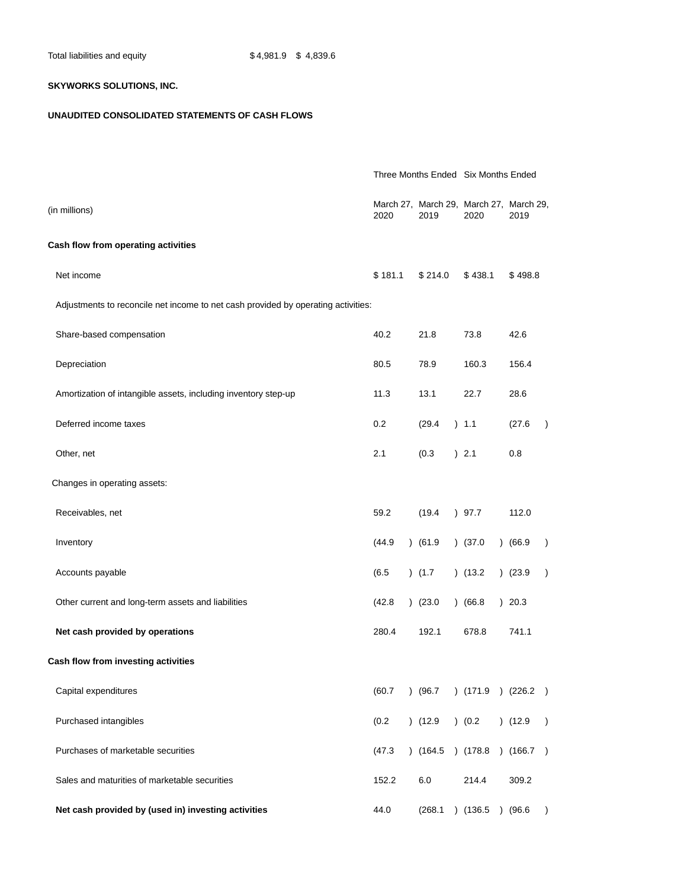## **SKYWORKS SOLUTIONS, INC.**

## **UNAUDITED CONSOLIDATED STATEMENTS OF CASH FLOWS**

|                                                                                   |         |            | Three Months Ended Six Months Ended             |            |               |  |
|-----------------------------------------------------------------------------------|---------|------------|-------------------------------------------------|------------|---------------|--|
| (in millions)                                                                     | 2020    | 2019       | March 27, March 29, March 27, March 29,<br>2020 | 2019       |               |  |
| Cash flow from operating activities                                               |         |            |                                                 |            |               |  |
| Net income                                                                        | \$181.1 | \$214.0    | \$438.1                                         | \$498.8    |               |  |
| Adjustments to reconcile net income to net cash provided by operating activities: |         |            |                                                 |            |               |  |
| Share-based compensation                                                          | 40.2    | 21.8       | 73.8                                            | 42.6       |               |  |
| Depreciation                                                                      | 80.5    | 78.9       | 160.3                                           | 156.4      |               |  |
| Amortization of intangible assets, including inventory step-up                    | 11.3    | 13.1       | 22.7                                            | 28.6       |               |  |
| Deferred income taxes                                                             | 0.2     | (29.4)     | ) 1.1                                           | (27.6)     | $\lambda$     |  |
| Other, net                                                                        | 2.1     | (0.3)      | ) 2.1                                           | 0.8        |               |  |
| Changes in operating assets:                                                      |         |            |                                                 |            |               |  |
| Receivables, net                                                                  | 59.2    | (19.4)     | ) 97.7                                          | 112.0      |               |  |
| Inventory                                                                         | (44.9)  | $)$ (61.9) | $)$ (37.0                                       | $)$ (66.9) | $\lambda$     |  |
| Accounts payable                                                                  | (6.5)   | (1.7)      | (13.2)                                          | (23.9)     | $\mathcal{E}$ |  |
| Other current and long-term assets and liabilities                                | (42.8)  | (23.0)     | (66.8)                                          | ) 20.3     |               |  |
| Net cash provided by operations                                                   | 280.4   | 192.1      | 678.8                                           | 741.1      |               |  |
| Cash flow from investing activities                                               |         |            |                                                 |            |               |  |
| Capital expenditures                                                              | (60.7)  | (96.7)     | ) (171.9 ) (226.2                               |            | $\rightarrow$ |  |
| Purchased intangibles                                                             | (0.2)   | (12.9)     | $)$ (0.2)                                       | $)$ (12.9  | $\lambda$     |  |
| Purchases of marketable securities                                                | (47.3)  | ) (164.5   | ) (178.8                                        | (166.7)    | $\rightarrow$ |  |
| Sales and maturities of marketable securities                                     | 152.2   | 6.0        | 214.4                                           | 309.2      |               |  |
| Net cash provided by (used in) investing activities                               | 44.0    | (268.1)    | (136.5)                                         | ) (96.6    | $\lambda$     |  |